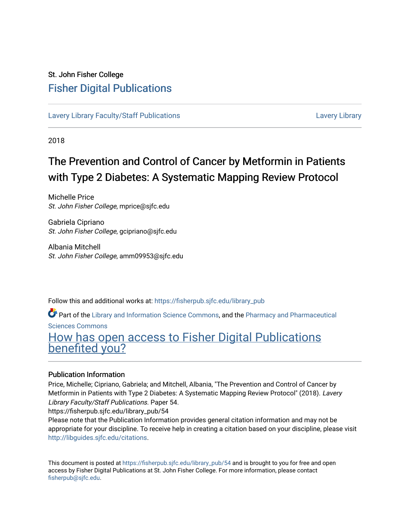### St. John Fisher College [Fisher Digital Publications](https://fisherpub.sjfc.edu/)

[Lavery Library Faculty/Staff Publications](https://fisherpub.sjfc.edu/library_pub) Lavery Lavery [Lavery Library](https://fisherpub.sjfc.edu/library) Lavery Library

2018

# The Prevention and Control of Cancer by Metformin in Patients with Type 2 Diabetes: A Systematic Mapping Review Protocol

Michelle Price St. John Fisher College, mprice@sjfc.edu

Gabriela Cipriano St. John Fisher College, gcipriano@sjfc.edu

Albania Mitchell St. John Fisher College, amm09953@sjfc.edu

Follow this and additional works at: [https://fisherpub.sjfc.edu/library\\_pub](https://fisherpub.sjfc.edu/library_pub?utm_source=fisherpub.sjfc.edu%2Flibrary_pub%2F54&utm_medium=PDF&utm_campaign=PDFCoverPages)

Part of the [Library and Information Science Commons,](http://network.bepress.com/hgg/discipline/1018?utm_source=fisherpub.sjfc.edu%2Flibrary_pub%2F54&utm_medium=PDF&utm_campaign=PDFCoverPages) and the [Pharmacy and Pharmaceutical](http://network.bepress.com/hgg/discipline/731?utm_source=fisherpub.sjfc.edu%2Flibrary_pub%2F54&utm_medium=PDF&utm_campaign=PDFCoverPages) 

[Sciences Commons](http://network.bepress.com/hgg/discipline/731?utm_source=fisherpub.sjfc.edu%2Flibrary_pub%2F54&utm_medium=PDF&utm_campaign=PDFCoverPages) 

## [How has open access to Fisher Digital Publications](https://docs.google.com/forms/d/14zrnDfH9d1wcdq8oG_-gFabAsxfcH5claltx85ZWyTg/viewform?entry.1394608989=https://fisherpub.sjfc.edu/library_pub/54%3Chttps://docs.google.com/forms/d/14zrnDfH9d1wcdq8oG_-gFabAsxfcH5claltx85ZWyTg/viewform?entry.1394608989=%7bhttps://fisherpub.sjfc.edu/library_pub/54%7d) [benefited you?](https://docs.google.com/forms/d/14zrnDfH9d1wcdq8oG_-gFabAsxfcH5claltx85ZWyTg/viewform?entry.1394608989=https://fisherpub.sjfc.edu/library_pub/54%3Chttps://docs.google.com/forms/d/14zrnDfH9d1wcdq8oG_-gFabAsxfcH5claltx85ZWyTg/viewform?entry.1394608989=%7bhttps://fisherpub.sjfc.edu/library_pub/54%7d)

#### Publication Information

Price, Michelle; Cipriano, Gabriela; and Mitchell, Albania, "The Prevention and Control of Cancer by Metformin in Patients with Type 2 Diabetes: A Systematic Mapping Review Protocol" (2018). Lavery Library Faculty/Staff Publications. Paper 54.

https://fisherpub.sjfc.edu/library\_pub/54

Please note that the Publication Information provides general citation information and may not be appropriate for your discipline. To receive help in creating a citation based on your discipline, please visit [http://libguides.sjfc.edu/citations.](http://libguides.sjfc.edu/citations)

This document is posted at [https://fisherpub.sjfc.edu/library\\_pub/54](https://fisherpub.sjfc.edu/library_pub/54) and is brought to you for free and open access by Fisher Digital Publications at St. John Fisher College. For more information, please contact [fisherpub@sjfc.edu](mailto:fisherpub@sjfc.edu).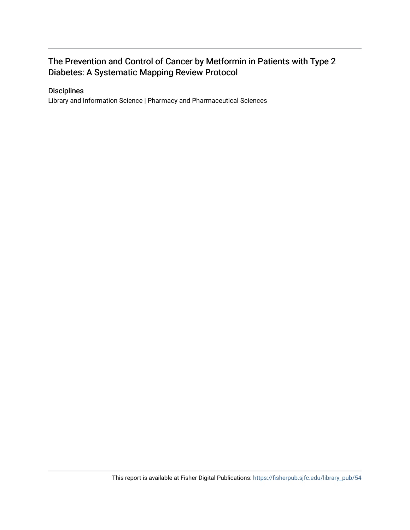### The Prevention and Control of Cancer by Metformin in Patients with Type 2 Diabetes: A Systematic Mapping Review Protocol

#### **Disciplines**

Library and Information Science | Pharmacy and Pharmaceutical Sciences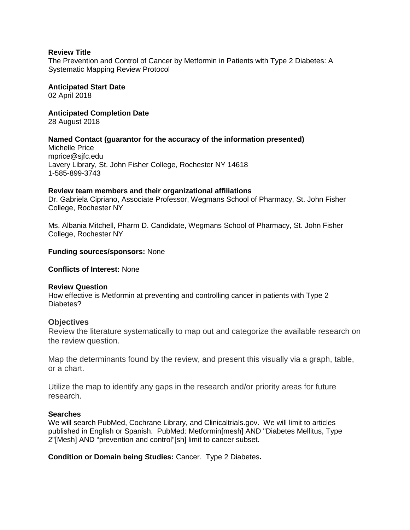#### **Review Title**

The Prevention and Control of Cancer by Metformin in Patients with Type 2 Diabetes: A Systematic Mapping Review Protocol

**Anticipated Start Date** 02 April 2018

**Anticipated Completion Date**

28 August 2018

#### **Named Contact (guarantor for the accuracy of the information presented)**

Michelle Price mprice@sjfc.edu Lavery Library, St. John Fisher College, Rochester NY 14618 1-585-899-3743

#### **Review team members and their organizational affiliations**

Dr. Gabriela Cipriano, Associate Professor, Wegmans School of Pharmacy, St. John Fisher College, Rochester NY

Ms. Albania Mitchell, Pharm D. Candidate, Wegmans School of Pharmacy, St. John Fisher College, Rochester NY

#### **Funding sources/sponsors:** None

**Conflicts of Interest:** None

#### **Review Question**

How effective is Metformin at preventing and controlling cancer in patients with Type 2 Diabetes?

#### **Objectives**

Review the literature systematically to map out and categorize the available research on the review question.

Map the determinants found by the review, and present this visually via a graph, table, or a chart.

Utilize the map to identify any gaps in the research and/or priority areas for future research.

#### **Searches**

We will search PubMed, Cochrane Library, and Clinicaltrials.gov. We will limit to articles published in English or Spanish. PubMed: Metformin[mesh] AND "Diabetes Mellitus, Type 2"[Mesh] AND "prevention and control"[sh] limit to cancer subset.

**Condition or Domain being Studies:** Cancer. Type 2 Diabetes**.**